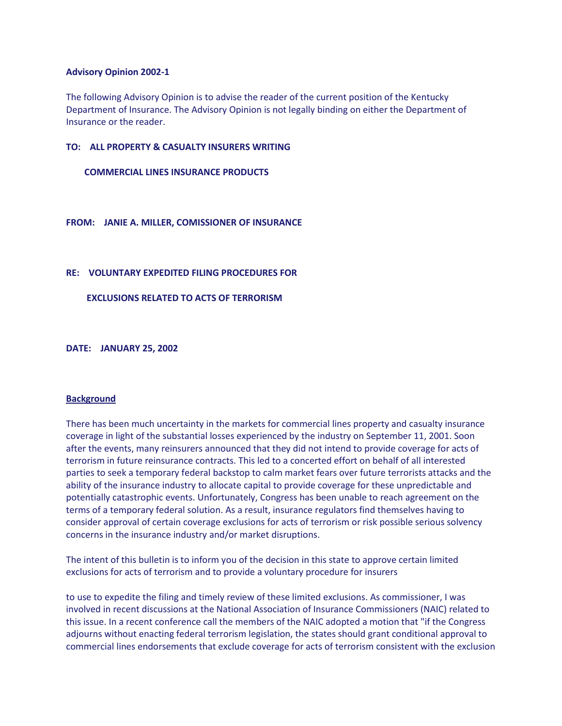## **Advisory Opinion 2002-1**

The following Advisory Opinion is to advise the reader of the current position of the Kentucky Department of Insurance. The Advisory Opinion is not legally binding on either the Department of Insurance or the reader.

## **TO: ALL PROPERTY & CASUALTY INSURERS WRITING**

## **COMMERCIAL LINES INSURANCE PRODUCTS**

## **FROM: JANIE A. MILLER, COMISSIONER OF INSURANCE**

## **RE: VOLUNTARY EXPEDITED FILING PROCEDURES FOR**

## **EXCLUSIONS RELATED TO ACTS OF TERRORISM**

**DATE: JANUARY 25, 2002** 

#### **Background**

There has been much uncertainty in the markets for commercial lines property and casualty insurance coverage in light of the substantial losses experienced by the industry on September 11, 2001. Soon after the events, many reinsurers announced that they did not intend to provide coverage for acts of terrorism in future reinsurance contracts. This led to a concerted effort on behalf of all interested parties to seek a temporary federal backstop to calm market fears over future terrorists attacks and the ability of the insurance industry to allocate capital to provide coverage for these unpredictable and potentially catastrophic events. Unfortunately, Congress has been unable to reach agreement on the terms of a temporary federal solution. As a result, insurance regulators find themselves having to consider approval of certain coverage exclusions for acts of terrorism or risk possible serious solvency concerns in the insurance industry and/or market disruptions.

The intent of this bulletin is to inform you of the decision in this state to approve certain limited exclusions for acts of terrorism and to provide a voluntary procedure for insurers

to use to expedite the filing and timely review of these limited exclusions. As commissioner, I was involved in recent discussions at the National Association of Insurance Commissioners (NAIC) related to this issue. In a recent conference call the members of the NAIC adopted a motion that "if the Congress adjourns without enacting federal terrorism legislation, the states should grant conditional approval to commercial lines endorsements that exclude coverage for acts of terrorism consistent with the exclusion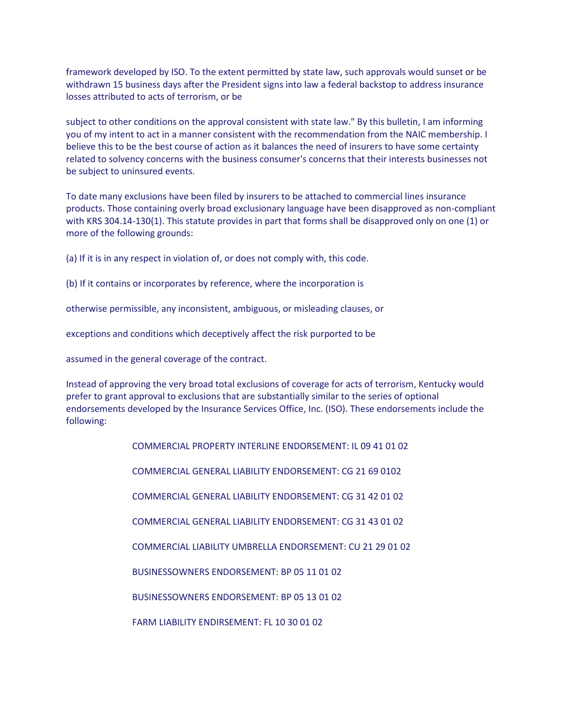framework developed by ISO. To the extent permitted by state law, such approvals would sunset or be withdrawn 15 business days after the President signs into law a federal backstop to address insurance losses attributed to acts of terrorism, or be

subject to other conditions on the approval consistent with state law." By this bulletin, I am informing you of my intent to act in a manner consistent with the recommendation from the NAIC membership. I believe this to be the best course of action as it balances the need of insurers to have some certainty related to solvency concerns with the business consumer's concerns that their interests businesses not be subject to uninsured events.

To date many exclusions have been filed by insurers to be attached to commercial lines insurance products. Those containing overly broad exclusionary language have been disapproved as non-compliant with KRS 304.14-130(1). This statute provides in part that forms shall be disapproved only on one (1) or more of the following grounds:

(a) If it is in any respect in violation of, or does not comply with, this code.

(b) If it contains or incorporates by reference, where the incorporation is

otherwise permissible, any inconsistent, ambiguous, or misleading clauses, or

exceptions and conditions which deceptively affect the risk purported to be

assumed in the general coverage of the contract.

Instead of approving the very broad total exclusions of coverage for acts of terrorism, Kentucky would prefer to grant approval to exclusions that are substantially similar to the series of optional endorsements developed by the Insurance Services Office, Inc. (ISO). These endorsements include the following:

> COMMERCIAL PROPERTY INTERLINE ENDORSEMENT: IL 09 41 01 02 COMMERCIAL GENERAL LIABILITY ENDORSEMENT: CG 21 69 0102 COMMERCIAL GENERAL LIABILITY ENDORSEMENT: CG 31 42 01 02 COMMERCIAL GENERAL LIABILITY ENDORSEMENT: CG 31 43 01 02 COMMERCIAL LIABILITY UMBRELLA ENDORSEMENT: CU 21 29 01 02 BUSINESSOWNERS ENDORSEMENT: BP 05 11 01 02 BUSINESSOWNERS ENDORSEMENT: BP 05 13 01 02 FARM LIABILITY ENDIRSEMENT: FL 10 30 01 02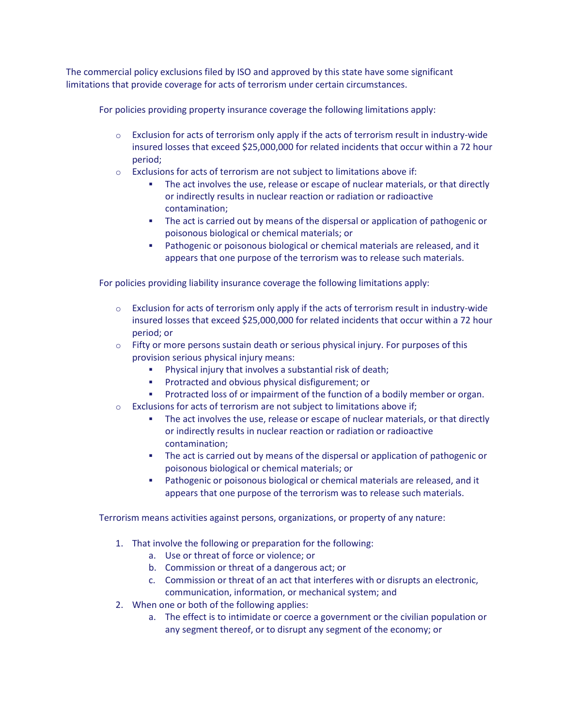The commercial policy exclusions filed by ISO and approved by this state have some significant limitations that provide coverage for acts of terrorism under certain circumstances.

For policies providing property insurance coverage the following limitations apply:

- $\circ$  Exclusion for acts of terrorism only apply if the acts of terrorism result in industry-wide insured losses that exceed \$25,000,000 for related incidents that occur within a 72 hour period;
- o Exclusions for acts of terrorism are not subject to limitations above if:
	- The act involves the use, release or escape of nuclear materials, or that directly or indirectly results in nuclear reaction or radiation or radioactive contamination;
	- The act is carried out by means of the dispersal or application of pathogenic or poisonous biological or chemical materials; or
	- Pathogenic or poisonous biological or chemical materials are released, and it appears that one purpose of the terrorism was to release such materials.

For policies providing liability insurance coverage the following limitations apply:

- $\circ$  Exclusion for acts of terrorism only apply if the acts of terrorism result in industry-wide insured losses that exceed \$25,000,000 for related incidents that occur within a 72 hour period; or
- $\circ$  Fifty or more persons sustain death or serious physical injury. For purposes of this provision serious physical injury means:
	- Physical injury that involves a substantial risk of death;
	- Protracted and obvious physical disfigurement; or
	- **Protracted loss of or impairment of the function of a bodily member or organ.**
- $\circ$  Exclusions for acts of terrorism are not subject to limitations above if;
	- The act involves the use, release or escape of nuclear materials, or that directly or indirectly results in nuclear reaction or radiation or radioactive contamination;
	- The act is carried out by means of the dispersal or application of pathogenic or poisonous biological or chemical materials; or
	- Pathogenic or poisonous biological or chemical materials are released, and it appears that one purpose of the terrorism was to release such materials.

Terrorism means activities against persons, organizations, or property of any nature:

- 1. That involve the following or preparation for the following:
	- a. Use or threat of force or violence; or
	- b. Commission or threat of a dangerous act; or
	- c. Commission or threat of an act that interferes with or disrupts an electronic, communication, information, or mechanical system; and
- 2. When one or both of the following applies:
	- a. The effect is to intimidate or coerce a government or the civilian population or any segment thereof, or to disrupt any segment of the economy; or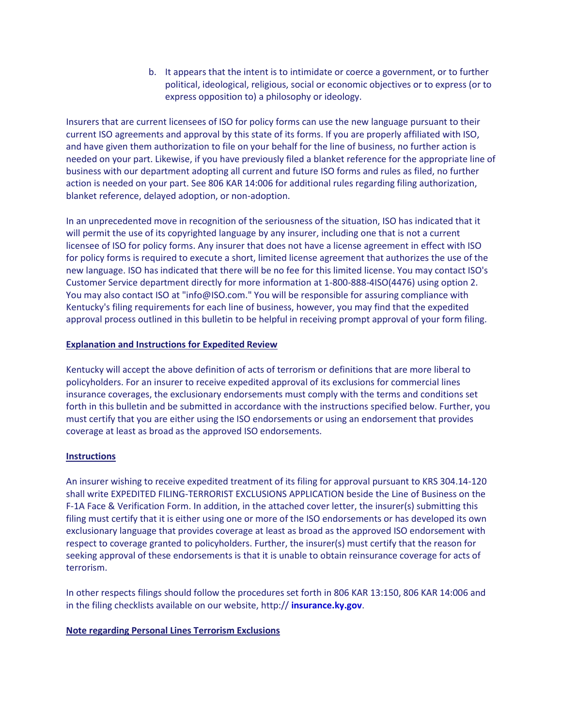b. It appears that the intent is to intimidate or coerce a government, or to further political, ideological, religious, social or economic objectives or to express (or to express opposition to) a philosophy or ideology.

Insurers that are current licensees of ISO for policy forms can use the new language pursuant to their current ISO agreements and approval by this state of its forms. If you are properly affiliated with ISO, and have given them authorization to file on your behalf for the line of business, no further action is needed on your part. Likewise, if you have previously filed a blanket reference for the appropriate line of business with our department adopting all current and future ISO forms and rules as filed, no further action is needed on your part. See 806 KAR 14:006 for additional rules regarding filing authorization, blanket reference, delayed adoption, or non-adoption.

In an unprecedented move in recognition of the seriousness of the situation, ISO has indicated that it will permit the use of its copyrighted language by any insurer, including one that is not a current licensee of ISO for policy forms. Any insurer that does not have a license agreement in effect with ISO for policy forms is required to execute a short, limited license agreement that authorizes the use of the new language. ISO has indicated that there will be no fee for this limited license. You may contact ISO's Customer Service department directly for more information at 1-800-888-4ISO(4476) using option 2. You may also contact ISO at "info@ISO.com." You will be responsible for assuring compliance with Kentucky's filing requirements for each line of business, however, you may find that the expedited approval process outlined in this bulletin to be helpful in receiving prompt approval of your form filing.

# **Explanation and Instructions for Expedited Review**

Kentucky will accept the above definition of acts of terrorism or definitions that are more liberal to policyholders. For an insurer to receive expedited approval of its exclusions for commercial lines insurance coverages, the exclusionary endorsements must comply with the terms and conditions set forth in this bulletin and be submitted in accordance with the instructions specified below. Further, you must certify that you are either using the ISO endorsements or using an endorsement that provides coverage at least as broad as the approved ISO endorsements.

# **Instructions**

An insurer wishing to receive expedited treatment of its filing for approval pursuant to KRS 304.14-120 shall write EXPEDITED FILING-TERRORIST EXCLUSIONS APPLICATION beside the Line of Business on the F-1A Face & Verification Form. In addition, in the attached cover letter, the insurer(s) submitting this filing must certify that it is either using one or more of the ISO endorsements or has developed its own exclusionary language that provides coverage at least as broad as the approved ISO endorsement with respect to coverage granted to policyholders. Further, the insurer(s) must certify that the reason for seeking approval of these endorsements is that it is unable to obtain reinsurance coverage for acts of terrorism.

In other respects filings should follow the procedures set forth in 806 KAR 13:150, 806 KAR 14:006 and in the filing checklists available on our website, http:// **[insurance.ky.gov](http://doi.ppr.ky.gov/)**.

# **Note regarding Personal Lines Terrorism Exclusions**